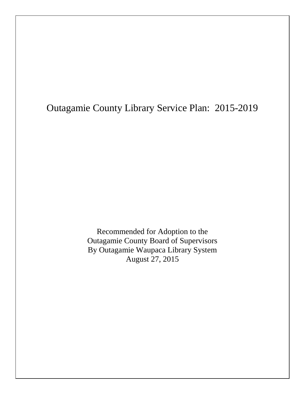# Outagamie County Library Service Plan: 2015-2019

Recommended for Adoption to the Outagamie County Board of Supervisors By Outagamie Waupaca Library System August 27, 2015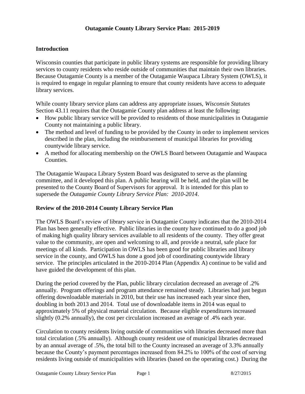## **Introduction**

Wisconsin counties that participate in public library systems are responsible for providing library services to county residents who reside outside of communities that maintain their own libraries. Because Outagamie County is a member of the Outagamie Waupaca Library System (OWLS), it is required to engage in regular planning to ensure that county residents have access to adequate library services.

While county library service plans can address any appropriate issues, *Wisconsin Statutes* Section 43.11 requires that the Outagamie County plan address at least the following:

- How public library service will be provided to residents of those municipalities in Outagamie County not maintaining a public library.
- The method and level of funding to be provided by the County in order to implement services described in the plan, including the reimbursement of municipal libraries for providing countywide library service.
- A method for allocating membership on the OWLS Board between Outagamie and Waupaca Counties.

The Outagamie Waupaca Library System Board was designated to serve as the planning committee, and it developed this plan. A public hearing will be held, and the plan will be presented to the County Board of Supervisors for approval. It is intended for this plan to supersede the *Outagamie County Library Service Plan: 2010-2014*.

#### **Review of the 2010-2014 County Library Service Plan**

The OWLS Board's review of library service in Outagamie County indicates that the 2010-2014 Plan has been generally effective. Public libraries in the county have continued to do a good job of making high quality library services available to all residents of the county. They offer great value to the community, are open and welcoming to all, and provide a neutral, safe place for meetings of all kinds. Participation in OWLS has been good for public libraries and library service in the county, and OWLS has done a good job of coordinating countywide library service. The principles articulated in the 2010-2014 Plan (Appendix A) continue to be valid and have guided the development of this plan.

During the period covered by the Plan, public library circulation decreased an average of .2% annually. Program offerings and program attendance remained steady. Libraries had just begun offering downloadable materials in 2010, but their use has increased each year since then, doubling in both 2013 and 2014. Total use of downloadable items in 2014 was equal to approximately 5% of physical material circulation. Because eligible expenditures increased slightly (0.2% annually), the cost per circulation increased an average of .4% each year.

Circulation to county residents living outside of communities with libraries decreased more than total circulation (.5% annually). Although county resident use of municipal libraries decreased by an annual average of .5%, the total bill to the County increased an average of 3.3% annually because the County's payment percentages increased from 84.2% to 100% of the cost of serving residents living outside of municipalities with libraries (based on the operating cost.) During the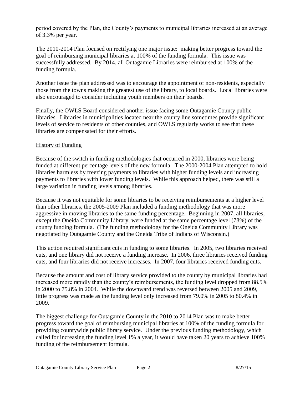period covered by the Plan, the County's payments to municipal libraries increased at an average of 3.3% per year.

The 2010-2014 Plan focused on rectifying one major issue: making better progress toward the goal of reimbursing municipal libraries at 100% of the funding formula. This issue was successfully addressed. By 2014, all Outagamie Libraries were reimbursed at 100% of the funding formula.

Another issue the plan addressed was to encourage the appointment of non-residents, especially those from the towns making the greatest use of the library, to local boards. Local libraries were also encouraged to consider including youth members on their boards.

Finally, the OWLS Board considered another issue facing some Outagamie County public libraries. Libraries in municipalities located near the county line sometimes provide significant levels of service to residents of other counties, and OWLS regularly works to see that these libraries are compensated for their efforts.

## History of Funding

Because of the switch in funding methodologies that occurred in 2000, libraries were being funded at different percentage levels of the new formula. The 2000-2004 Plan attempted to hold libraries harmless by freezing payments to libraries with higher funding levels and increasing payments to libraries with lower funding levels. While this approach helped, there was still a large variation in funding levels among libraries.

Because it was not equitable for some libraries to be receiving reimbursements at a higher level than other libraries, the 2005-2009 Plan included a funding methodology that was more aggressive in moving libraries to the same funding percentage. Beginning in 2007, all libraries, except the Oneida Community Library, were funded at the same percentage level (78%) of the county funding formula. (The funding methodology for the Oneida Community Library was negotiated by Outagamie County and the Oneida Tribe of Indians of Wisconsin.)

This action required significant cuts in funding to some libraries. In 2005, two libraries received cuts, and one library did not receive a funding increase. In 2006, three libraries received funding cuts, and four libraries did not receive increases. In 2007, four libraries received funding cuts.

Because the amount and cost of library service provided to the county by municipal libraries had increased more rapidly than the county's reimbursements, the funding level dropped from 88.5% in 2000 to 75.8% in 2004. While the downward trend was reversed between 2005 and 2009, little progress was made as the funding level only increased from 79.0% in 2005 to 80.4% in 2009.

The biggest challenge for Outagamie County in the 2010 to 2014 Plan was to make better progress toward the goal of reimbursing municipal libraries at 100% of the funding formula for providing countywide public library service. Under the previous funding methodology, which called for increasing the funding level 1% a year, it would have taken 20 years to achieve 100% funding of the reimbursement formula.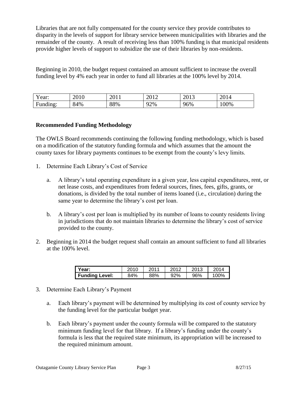Libraries that are not fully compensated for the county service they provide contributes to disparity in the levels of support for library service between municipalities with libraries and the remainder of the county. A result of receiving less than 100% funding is that municipal residents provide higher levels of support to subsidize the use of their libraries by non-residents.

Beginning in 2010, the budget request contained an amount sufficient to increase the overall funding level by 4% each year in order to fund all libraries at the 100% level by 2014.

| Y ear:                     | 2010 | 2011 | 2012<br>2012 | 2012<br>2013 | 2014 |
|----------------------------|------|------|--------------|--------------|------|
| $\blacksquare$<br>Funding: | 84%  | 88%  | 92%          | 96%          | 100% |

# **Recommended Funding Methodology**

The OWLS Board recommends continuing the following funding methodology, which is based on a modification of the statutory funding formula and which assumes that the amount the county taxes for library payments continues to be exempt from the county's levy limits.

- 1. Determine Each Library's Cost of Service
	- a. A library's total operating expenditure in a given year, less capital expenditures, rent, or net lease costs, and expenditures from federal sources, fines, fees, gifts, grants, or donations, is divided by the total number of items loaned (i.e., circulation) during the same year to determine the library's cost per loan.
	- b. A library's cost per loan is multiplied by its number of loans to county residents living in jurisdictions that do not maintain libraries to determine the library's cost of service provided to the county.
- 2. Beginning in 2014 the budget request shall contain an amount sufficient to fund all libraries at the 100% level.

| Year:          | 2010 | 2011 | 2012 | 2013 | 2014 |
|----------------|------|------|------|------|------|
| Funding Level: | 84%  | 88%  | 92%  | 96%  | 100% |

- 3. Determine Each Library's Payment
	- a. Each library's payment will be determined by multiplying its cost of county service by the funding level for the particular budget year.
	- b. Each library's payment under the county formula will be compared to the statutory minimum funding level for that library. If a library's funding under the county's formula is less that the required state minimum, its appropriation will be increased to the required minimum amount.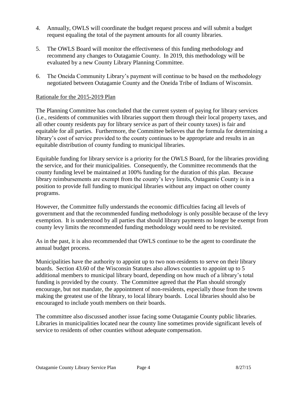- 4. Annually, OWLS will coordinate the budget request process and will submit a budget request equaling the total of the payment amounts for all county libraries.
- 5. The OWLS Board will monitor the effectiveness of this funding methodology and recommend any changes to Outagamie County. In 2019, this methodology will be evaluated by a new County Library Planning Committee.
- 6. The Oneida Community Library's payment will continue to be based on the methodology negotiated between Outagamie County and the Oneida Tribe of Indians of Wisconsin.

## Rationale for the 2015-2019 Plan

The Planning Committee has concluded that the current system of paying for library services (i.e., residents of communities with libraries support them through their local property taxes, and all other county residents pay for library service as part of their county taxes) is fair and equitable for all parties. Furthermore, the Committee believes that the formula for determining a library's cost of service provided to the county continues to be appropriate and results in an equitable distribution of county funding to municipal libraries.

Equitable funding for library service is a priority for the OWLS Board, for the libraries providing the service, and for their municipalities. Consequently, the Committee recommends that the county funding level be maintained at 100% funding for the duration of this plan. Because library reimbursements are exempt from the county's levy limits, Outagamie County is in a position to provide full funding to municipal libraries without any impact on other county programs.

However, the Committee fully understands the economic difficulties facing all levels of government and that the recommended funding methodology is only possible because of the levy exemption. It is understood by all parties that should library payments no longer be exempt from county levy limits the recommended funding methodology would need to be revisited.

As in the past, it is also recommended that OWLS continue to be the agent to coordinate the annual budget process.

Municipalities have the authority to appoint up to two non-residents to serve on their library boards. Section 43.60 of the Wisconsin Statutes also allows counties to appoint up to 5 additional members to municipal library board, depending on how much of a library's total funding is provided by the county. The Committee agreed that the Plan should strongly encourage, but not mandate, the appointment of non-residents, especially those from the towns making the greatest use of the library, to local library boards. Local libraries should also be encouraged to include youth members on their boards.

The committee also discussed another issue facing some Outagamie County public libraries. Libraries in municipalities located near the county line sometimes provide significant levels of service to residents of other counties without adequate compensation.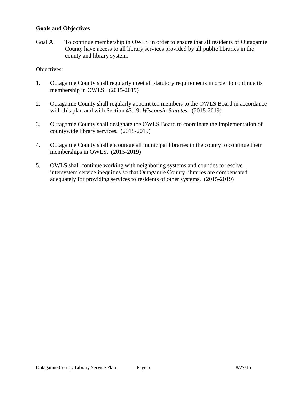#### **Goals and Objectives**

Goal A: To continue membership in OWLS in order to ensure that all residents of Outagamie County have access to all library services provided by all public libraries in the county and library system.

#### Objectives:

- 1. Outagamie County shall regularly meet all statutory requirements in order to continue its membership in OWLS. (2015-2019)
- 2. Outagamie County shall regularly appoint ten members to the OWLS Board in accordance with this plan and with Section 43.19, *Wisconsin Statutes.* (2015-2019)
- 3. Outagamie County shall designate the OWLS Board to coordinate the implementation of countywide library services. (2015-2019)
- 4. Outagamie County shall encourage all municipal libraries in the county to continue their memberships in OWLS. (2015-2019)
- 5. OWLS shall continue working with neighboring systems and counties to resolve intersystem service inequities so that Outagamie County libraries are compensated adequately for providing services to residents of other systems. (2015-2019)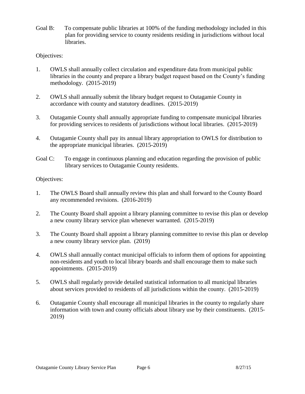Goal B: To compensate public libraries at 100% of the funding methodology included in this plan for providing service to county residents residing in jurisdictions without local libraries.

# Objectives:

- 1. OWLS shall annually collect circulation and expenditure data from municipal public libraries in the county and prepare a library budget request based on the County's funding methodology. (2015-2019)
- 2. OWLS shall annually submit the library budget request to Outagamie County in accordance with county and statutory deadlines. (2015-2019)
- 3. Outagamie County shall annually appropriate funding to compensate municipal libraries for providing services to residents of jurisdictions without local libraries. (2015-2019)
- 4. Outagamie County shall pay its annual library appropriation to OWLS for distribution to the appropriate municipal libraries. (2015-2019)
- Goal C: To engage in continuous planning and education regarding the provision of public library services to Outagamie County residents.

# Objectives:

- 1. The OWLS Board shall annually review this plan and shall forward to the County Board any recommended revisions. (2016-2019)
- 2. The County Board shall appoint a library planning committee to revise this plan or develop a new county library service plan whenever warranted. (2015-2019)
- 3. The County Board shall appoint a library planning committee to revise this plan or develop a new county library service plan. (2019)
- 4. OWLS shall annually contact municipal officials to inform them of options for appointing non-residents and youth to local library boards and shall encourage them to make such appointments. (2015-2019)
- 5. OWLS shall regularly provide detailed statistical information to all municipal libraries about services provided to residents of all jurisdictions within the county. (2015-2019)
- 6. Outagamie County shall encourage all municipal libraries in the county to regularly share information with town and county officials about library use by their constituents. (2015- 2019)